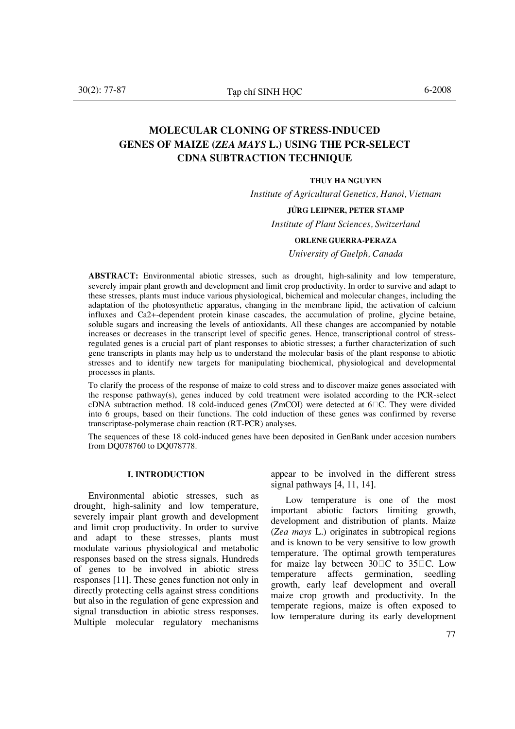# **Molecular cloning of stress-induced genes of maize (***Zea mays* **L.) using the PCR-select cDNA subtraction technique**

#### **Thuy Ha Nguyen**

*Institute of Agricultural Genetics, Hanoi, Vietnam* 

#### **Jörg Leipner, Peter Stamp**

*Institute of Plant Sciences, Switzerland* 

#### **Orlene Guerra-Peraza**

*University of Guelph, Canada* 

**Abstract:** Environmental abiotic stresses, such as drought, high-salinity and low temperature, severely impair plant growth and development and limit crop productivity. In order to survive and adapt to these stresses, plants must induce various physiological, bichemical and molecular changes, including the adaptation of the photosynthetic apparatus, changing in the membrane lipid, the activation of calcium influxes and Ca2+-dependent protein kinase cascades, the accumulation of proline, glycine betaine, soluble sugars and increasing the levels of antioxidants. All these changes are accompanied by notable increases or decreases in the transcript level of specific genes. Hence, transcriptional control of stressregulated genes is a crucial part of plant responses to abiotic stresses; a further characterization of such gene transcripts in plants may help us to understand the molecular basis of the plant response to abiotic stresses and to identify new targets for manipulating biochemical, physiological and developmental processes in plants.

To clarify the process of the response of maize to cold stress and to discover maize genes associated with the response pathway(s), genes induced by cold treatment were isolated according to the PCR-select cDNA subtraction method. 18 cold-induced genes (ZmCOI) were detected at  $6\degree$ C. They were divided into 6 groups, based on their functions. The cold induction of these genes was confirmed by reverse transcriptase-polymerase chain reaction (RT-PCR) analyses.

The sequences of these 18 cold-induced genes have been deposited in GenBank under accesion numbers from DQ078760 to DQ078778*.* 

### **I. Introduction**

Environmental abiotic stresses, such as drought, high-salinity and low temperature, severely impair plant growth and development and limit crop productivity. In order to survive and adapt to these stresses, plants must modulate various physiological and metabolic responses based on the stress signals. Hundreds of genes to be involved in abiotic stress responses [11]. These genes function not only in directly protecting cells against stress conditions but also in the regulation of gene expression and signal transduction in abiotic stress responses. Multiple molecular regulatory mechanisms

appear to be involved in the different stress signal pathways [4, 11, 14].

Low temperature is one of the most important abiotic factors limiting growth, development and distribution of plants. Maize (*Zea mays* L.) originates in subtropical regions and is known to be very sensitive to low growth temperature. The optimal growth temperatures for maize lay between  $30\degree\text{C}$  to  $35\degree\text{C}$ . Low temperature affects germination, seedling growth, early leaf development and overall maize crop growth and productivity. In the temperate regions, maize is often exposed to low temperature during its early development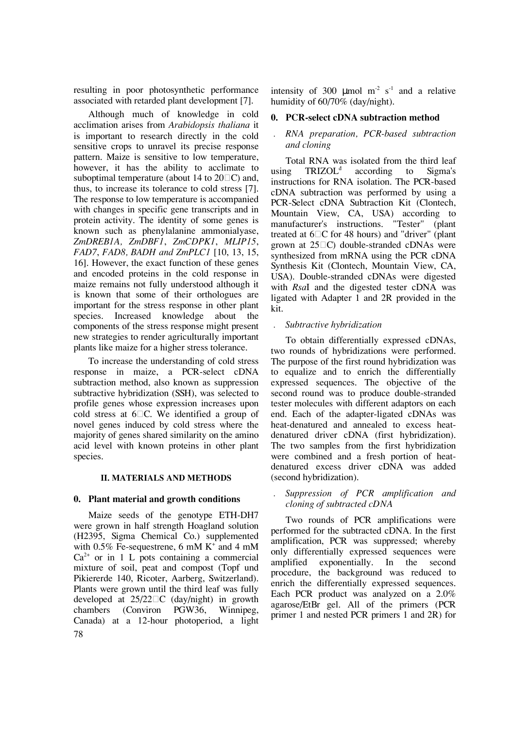resulting in poor photosynthetic performance associated with retarded plant development [7].

Although much of knowledge in cold acclimation arises from *Arabidopsis thaliana* it is important to research directly in the cold sensitive crops to unravel its precise response pattern. Maize is sensitive to low temperature, however, it has the ability to acclimate to suboptimal temperature (about 14 to  $20\Box C$ ) and, thus, to increase its tolerance to cold stress [7]. The response to low temperature is accompanied with changes in specific gene transcripts and in protein activity. The identity of some genes is known such as phenylalanine ammonialyase, *ZmDREB1A, ZmDBF1*, *ZmCDPK1*, *MLIP15*, *FAD7*, *FAD8, BADH and ZmPLC1* [10, 13, 15, 16]. However, the exact function of these genes and encoded proteins in the cold response in maize remains not fully understood although it is known that some of their orthologues are important for the stress response in other plant species. Increased knowledge about the components of the stress response might present new strategies to render agriculturally important plants like maize for a higher stress tolerance.

To increase the understanding of cold stress response in maize, a PCR-select cDNA subtraction method, also known as suppression subtractive hybridization (SSH), was selected to profile genes whose expression increases upon cold stress at  $6\degree$ C. We identified a group of novel genes induced by cold stress where the majority of genes shared similarity on the amino acid level with known proteins in other plant species.

### **II. Materials and methods**

### **0. Plant material and growth conditions**

78 Maize seeds of the genotype ETH-DH7 were grown in half strength Hoagland solution (H2395, Sigma Chemical Co.) supplemented with 0.5% Fe-sequestrene, 6 mM  $K^+$  and 4 mM  $Ca<sup>2+</sup>$  or in 1 L pots containing a commercial mixture of soil, peat and compost (Topf und Pikiererde 140, Ricoter, Aarberg, Switzerland). Plants were grown until the third leaf was fully developed at  $25/22\square$ C (day/night) in growth chambers (Conviron PGW36, Winnipeg, Canada) at a 12-hour photoperiod, a light

intensity of 300  $\mu$ mol m<sup>-2</sup> s<sup>-1</sup> and a relative humidity of 60/70% (day/night).

### **0. PCR-select cDNA subtraction method**

# *. RNA preparation, PCR-based subtraction and cloning*

Total RNA was isolated from the third leaf using TRIZOL<sup>d</sup> according to Sigma's instructions for RNA isolation. The PCR-based cDNA subtraction was performed by using a PCR-Select cDNA Subtraction Kit (Clontech, Mountain View, CA, USA) according to manufacturer's instructions. "Tester" (plant treated at  $6\degree$ C for 48 hours) and "driver" (plant grown at  $25\Box C$ ) double-stranded cDNAs were synthesized from mRNA using the PCR cDNA Synthesis Kit (Clontech, Mountain View, CA, USA). Double-stranded cDNAs were digested with *Rsa*I and the digested tester cDNA was ligated with Adapter 1 and 2R provided in the kit.

### *. Subtractive hybridization*

To obtain differentially expressed cDNAs, two rounds of hybridizations were performed. The purpose of the first round hybridization was to equalize and to enrich the differentially expressed sequences. The objective of the second round was to produce double-stranded tester molecules with different adaptors on each end. Each of the adapter-ligated cDNAs was heat-denatured and annealed to excess heatdenatured driver cDNA (first hybridization). The two samples from the first hybridization were combined and a fresh portion of heatdenatured excess driver cDNA was added (second hybridization).

### *. Suppression of PCR amplification and cloning of subtracted cDNA*

Two rounds of PCR amplifications were performed for the subtracted cDNA. In the first amplification, PCR was suppressed; whereby only differentially expressed sequences were amplified exponentially. In the second procedure, the background was reduced to enrich the differentially expressed sequences. Each PCR product was analyzed on a 2.0% agarose/EtBr gel. All of the primers (PCR primer 1 and nested PCR primers 1 and 2R) for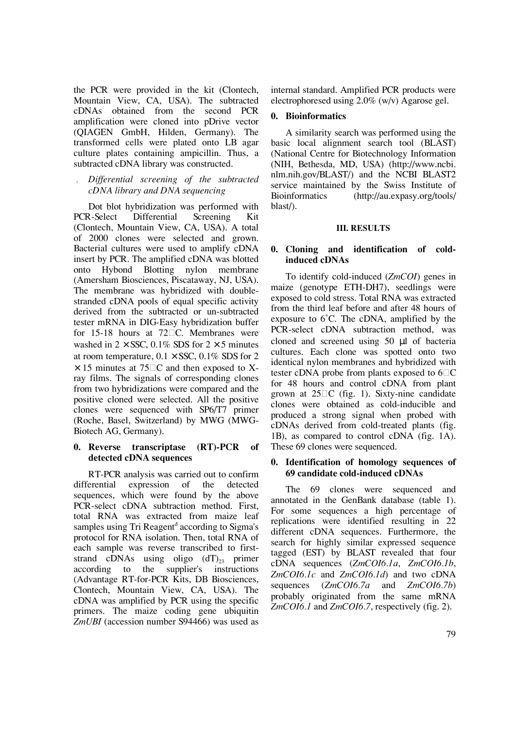the PCR were provided in the kit (Clontech, Mountain View, CA, USA). The subtracted cDNAs obtained from the second PCR amplification were cloned into pDrive vector (QIAGEN GmbH, Hilden, Germany). The transformed cells were plated onto LB agar culture plates containing ampicillin. Thus, a subtracted cDNA library was constructed.

# *. Differential screening of the subtracted cDNA library and DNA sequencing*

Dot blot hybridization was performed with PCR-Select Differential Screening Kit (Clontech, Mountain View, CA, USA). A total of 2000 clones were selected and grown. Bacterial cultures were used to amplify cDNA insert by PCR. The amplified cDNA was blotted onto Hybond Blotting nylon membrane (Amersham Biosciences, Piscataway, NJ, USA). The membrane was hybridized with doublestranded cDNA pools of equal specific activity derived from the subtracted or un-subtracted tester mRNA in DIG-Easy hybridization buffer for 15-18 hours at 72 $\Box$ C. Membranes were washed in  $2 \times$  SSC, 0.1% SDS for  $2 \times 5$  minutes at room temperature,  $0.1 \times$  SSC,  $0.1\%$  SDS for 2  $\times$  15 minutes at 75 $\Box$ C and then exposed to Xray films. The signals of corresponding clones from two hybridizations were compared and the positive cloned were selected. All the positive clones were sequenced with SP6/T7 primer (Roche, Basel, Switzerland) by MWG (MWG-Biotech AG, Germany).

# **0. Reverse transcriptase (RT)-PCR of detected cDNA sequences**

RT-PCR analysis was carried out to confirm differential expression of the detected sequences, which were found by the above PCR-select cDNA subtraction method. First, total RNA was extracted from maize leaf samples using Tri Reagent<sup>d</sup> according to Sigma's protocol for RNA isolation. Then, total RNA of each sample was reverse transcribed to firststrand cDNAs using oligo  $(dT)_{23}$  primer according to the supplier's instructions (Advantage RT-for-PCR Kits, DB Biosciences, Clontech, Mountain View, CA, USA). The cDNA was amplified by PCR using the specific primers. The maize coding gene ubiquitin *ZmUBI* (accession number S94466) was used as

internal standard. Amplified PCR products were electrophoresed using 2.0% (w/v) Agarose gel.

# **0. Bioinformatics**

A similarity search was performed using the basic local alignment search tool (BLAST) (National Centre for Biotechnology Information (NIH, Bethesda, MD, USA) (http://www.ncbi. nlm.nih.gov/BLAST/) and the NCBI BLAST2 service maintained by the Swiss Institute of Bioinformatics (http://au.expasy.org/tools/ blast/).

# **III. Results**

# **0. Cloning and identification of coldinduced cDNAs**

To identify cold-induced (*ZmCOI*) genes in maize (genotype ETH-DH7), seedlings were exposed to cold stress. Total RNA was extracted from the third leaf before and after 48 hours of exposure to 6˚C. The cDNA, amplified by the PCR-select cDNA subtraction method, was cloned and screened using 50 µl of bacteria cultures. Each clone was spotted onto two identical nylon membranes and hybridized with tester cDNA probe from plants exposed to  $6\degree$ C for 48 hours and control cDNA from plant grown at  $25\degree$ C (fig. 1). Sixty-nine candidate clones were obtained as cold-inducible and produced a strong signal when probed with cDNAs derived from cold-treated plants (fig. 1B), as compared to control cDNA (fig. 1A). These 69 clones were sequenced.

# **0. Identification of homology sequences of 69 candidate cold-induced cDNAs**

The 69 clones were sequenced and annotated in the GenBank database (table 1). For some sequences a high percentage of replications were identified resulting in 22 different cDNA sequences. Furthermore, the search for highly similar expressed sequence tagged (EST) by BLAST revealed that four cDNA sequences (*ZmCOI6.1a*, *ZmCOI6.1b*, *ZmCOI6.1c* and *ZmCOI6.1d*) and two cDNA sequences (*ZmCOI6.7a* and *ZmCOI6.7b*) probably originated from the same mRNA *ZmCOI6.1* and *ZmCOI6.7*, respectively (fig. 2).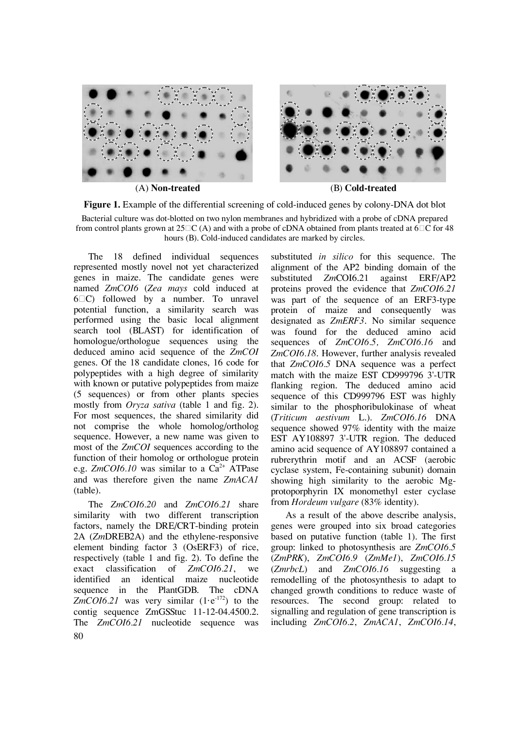

**Figure 1.** Example of the differential screening of cold-induced genes by colony-DNA dot blot

Bacterial culture was dot-blotted on two nylon membranes and hybridized with a probe of cDNA prepared from control plants grown at  $25\Box C$  (A) and with a probe of cDNA obtained from plants treated at 6 $\Box C$  for 48 hours (B). Cold-induced candidates are marked by circles.

The 18 defined individual sequences represented mostly novel not yet characterized genes in maize. The candidate genes were named *ZmCOI6* (*Zea mays* cold induced at  $6\degree$ C) followed by a number. To unravel potential function, a similarity search was performed using the basic local alignment search tool (BLAST) for identification of homologue/orthologue sequences using the deduced amino acid sequence of the *ZmCOI* genes. Of the 18 candidate clones, 16 code for polypeptides with a high degree of similarity with known or putative polypeptides from maize (5 sequences) or from other plants species mostly from *Oryza sativa* (table 1 and fig. 2). For most sequences, the shared similarity did not comprise the whole homolog/ortholog sequence. However, a new name was given to most of the *ZmCOI* sequences according to the function of their homolog or orthologue protein e.g.  $ZmCOI6.10$  was similar to a  $Ca^{2+}$  ATPase and was therefore given the name *ZmACA1* (table).

80 The *ZmCOI6.20* and *ZmCOI6.21* share similarity with two different transcription factors, namely the DRE/CRT-binding protein 2A (*Zm*DREB2A) and the ethylene-responsive element binding factor 3 (OsERF3) of rice, respectively (table 1 and fig. 2). To define the exact classification of *ZmCOI6.21*, we identified an identical maize nucleotide sequence in the PlantGDB. The cDNA ZmCOI6.21 was very similar  $(1 \cdot e^{-172})$  to the contig sequence ZmGSStuc 11-12-04.4500.2. The *ZmCOI6.21* nucleotide sequence was

substituted *in silico* for this sequence. The alignment of the AP2 binding domain of the substituted *Zm*COI6.21 against ERF/AP2 proteins proved the evidence that *ZmCOI6.21* was part of the sequence of an ERF3-type protein of maize and consequently was designated as *ZmERF3*. No similar sequence was found for the deduced amino acid sequences of *ZmCOI6.5, ZmCOI6.16* and *ZmCOI6.18*. However, further analysis revealed that *ZmCOI6.5* DNA sequence was a perfect match with the maize EST CD999796 3'-UTR flanking region. The deduced amino acid sequence of this CD999796 EST was highly similar to the phosphoribulokinase of wheat (*Triticum aestivum* L.). *ZmCOI6.16* DNA sequence showed 97% identity with the maize EST AY108897 3'-UTR region. The deduced amino acid sequence of AY108897 contained a rubrerythrin motif and an ACSF (aerobic cyclase system, Fe-containing subunit) domain showing high similarity to the aerobic Mgprotoporphyrin IX monomethyl ester cyclase from *Hordeum vulgare* (83% identity).

As a result of the above describe analysis, genes were grouped into six broad categories based on putative function (table 1). The first group: linked to photosynthesis are *ZmCOI6.5*  (*ZmPRK*), *ZmCOI6.9* (*ZmMe1*), *ZmCOI6.15* (*ZmrbcL*) and *ZmCOI6.16* suggesting a remodelling of the photosynthesis to adapt to changed growth conditions to reduce waste of resources. The second group: related to signalling and regulation of gene transcription is including *ZmCOI6.2*, *ZmACA1*, *ZmCOI6.14*,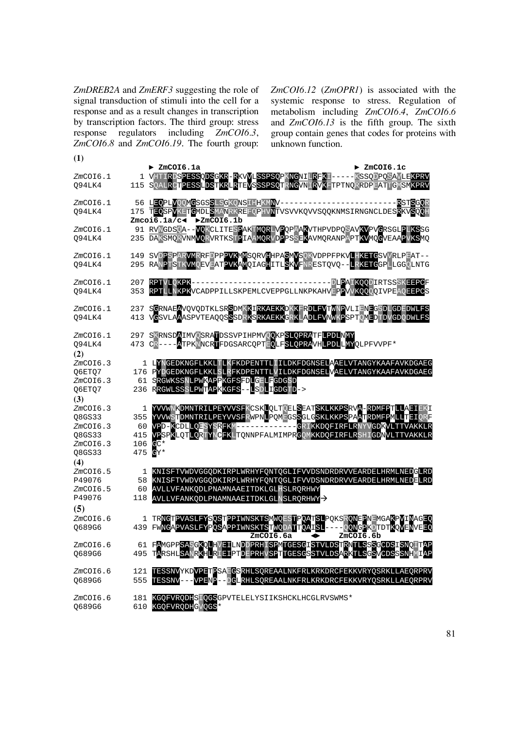*ZmDREB2A* and *ZmERF3* suggesting the role of signal transduction of stimuli into the cell for a response and as a result changes in transcription by transcription factors. The third group: stress response regulators including *ZmCOI6.3*, *ZmCOI6.8* and *ZmCOI6.19*. The fourth group: *ZmCOI6.12* (*ZmOPR1*) is associated with the systemic response to stress. Regulation of metabolism including *ZmCOI6.4*, *ZmCOI6.6* and *ZmCOI6.13* is the fifth group. The sixth group contain genes that codes for proteins with unknown function.

| $\bf(1)$                                                       | $\blacktriangleright$ ZmCOI6.1a<br>$\blacktriangleright$ ZmCOI6.1c                                                                                                                                                                                                                                                                                                               |
|----------------------------------------------------------------|----------------------------------------------------------------------------------------------------------------------------------------------------------------------------------------------------------------------------------------------------------------------------------------------------------------------------------------------------------------------------------|
| ZmCOI6.1<br>Q94LK4                                             | 1 VHTIRDSPESSODSGKR-RKVVLSSPSOPKNCNILRFKI-----KSSODPOSAVLEKPRV<br>115 SQALRCTPESSLDSTKRLRTEVSSSPSQTRNGVNLRVKFTPTNQRRDPEATTGMSM <mark>KPRV</mark>                                                                                                                                                                                                                                 |
| ZmCOI6.1<br>094LK4                                             | 56 LEQPLVOOMGSGSSLSGKQNSIHHKMNV-------------------------<br><b>RSTSGOR</b><br>175 TEOSPVKETGMDLSMANRKREFQPHVNTVSVVKQVVSQQKNMSIRNGNCLDESRKVSQQH<br>$Zmcoi6.1a/c$ $\blacktriangleright$ $ZmCOI6.1b$                                                                                                                                                                                |
| ZmCOI6.1<br>094LK4                                             | 91 RVNGDSQA--VOKCLITESPAKTMORLVPQPAAKVTHPVDPQSAVKVPVGRSGLPLKSSG<br>235 DAKSMQRVNM <mark>VQRVRTKSTP</mark> IAA <mark>MQR</mark> VDPPSSE <mark>K</mark> AVMQRANPAPT <mark>KV</mark> MQCVEAAPVKSMQ                                                                                                                                                                                  |
| ZmCOI6.1<br>Q94LK4                                             | 149 SVDPSPARVMRRFDPPPVKMMSQRVHHPASMVSQKVDPPFPKVLHKETGSVVRLPEAT--<br>295 RANPTSTK <mark>VM</mark> QEVEATPVKAMQIAGHITL <mark>SKV</mark> FNRESTQVQ-- <mark>LRKETG</mark> GPLLGGQLNTG                                                                                                                                                                                                |
| ZmCOI6.1<br>094LK4                                             | RPTVLQKPK-------------------------------DLPAIKQQDIRTSSSKEEPCF<br>207<br>RPTLLNKPKVCADPPILLSKPEMLCVEPPGLLNKPKAHVEPPVVKQQQQIVPEAQEEPCS<br>353                                                                                                                                                                                                                                      |
| ZmCOI6.1<br>Q94LK4                                             | 237 SCRNAEAVOVODTKLSRSDMKKIRKAEKKDKKFRDLFVTWNPVLIENEGSDLGDEDWLFS<br>413 VGSVLAAASPVTEAQQSSSDRKSRKAEKKGRKLADLFVNWKPSPTQMEDTDVGDQDWLFS                                                                                                                                                                                                                                             |
| $ZmCO$ I6.1<br>Q94LK4<br>(2)                                   | 297 SKRNSDAIMVOSRATDSSVPIHPMVOOKPSLOPRATFLPDLNMY<br>473 CR----ATPKNNCRTFDGSARCQPTEQLFSLQPRAVH <mark>LPDLLMY</mark> QLPFVVPF*                                                                                                                                                                                                                                                     |
| ZmCOI6.3<br>Q6ETQ7<br>ZmCOI6.3<br>Q6ETQ7<br>(3)                | 1 LYNGEDKNGFLKKLTLKFKDPENTTLIILDKFDGNSELAAELVTANGYKAAFAVKDGAEG<br>176 PYDGEDKNGFLKKLSLRFKDPENTTLVILDKFDGNSELVAELVTANGYKAAFAVKDGAEG<br>61 SRGWKSSNLPWKAPPKGFSFDLGFLFGDGSD<br>236 RRGWLSSSLPWTAPKKGFS--LSDLIGDGTD->                                                                                                                                                                |
| ZmCOI6.3<br>08GS33<br>ZmCOI6.3<br>Q8GS33<br>ZmCOI6.3<br>Q8GS33 | YVVWNKDMNTRILPEYVVSFKCSKLQLTQELSEATSKLKKPSRVA-RDMFPTLLAEIEKI<br>1<br>YVVWSTDMNTRILPEYVVSFRWPNLPQMEGSSGLGSKLKKPSPAATRDMFPMLLTEIQRF<br>355<br>VPD-KCDLLQESYSRFKM------------GRIKKDQFIRFLRNYVGD <mark>KVLTTVAKKLR</mark><br>60<br>VPSPKLQTLQRTYNCFKLTQNNPFALMIMPRCQMKKDQFIRFLRSHIGD <mark>N</mark> VLTTVAKKLR<br>415<br>$C^*$<br>106<br>475<br>$\mathbf{e}_{\mathrm{Y}}$ $^{\star}$ |
| (4)<br>ZmCOI6.5<br>P49076<br>$ZmCO$ I $6.5$<br>P49076          | KNISFTVWDVGGQDKIRPLWRHYFQNTQGLIFVVDSNDRDRVVEARDELHRMLNEDGLRD<br>1<br>KNISFTVWDVGGQDKIRPLWRHYFQNTQGLIFVVDSNDRDRVVEARDELHRMLNEDELRD<br>58<br>AVLLVFANKQDLPNAMNAAEITDKLGLHSLRQRHWY<br>60<br>118<br>AVLLVFANKODLPNAMNAAEITDKLGLNSLRORHWY                                                                                                                                             |
| (5)<br>ZmCOI6.6<br>Q689G6                                      | TRNGTPVASLFYSQSTPPIWNSKTSMWQESTPQATSLPQKSRQNEPNEMGAKPVINAGEQ<br>ı<br>-QQNGPKDTDTKQVENVEEQ<br>FWNGAPVASLFYPQSAPPIWNSKTSTWQDATTQAISL-<br>439                                                                                                                                                                                                                                       |
| ZmCOI6.6<br>O689G6                                             | ZmCOI6.6a<br>ZmCOI6.6b<br>◆<br>61 FAMGPPSASGKQLHVEILNDDPRHISPMTGESGISTVLDSTRNTLSSSGCDSISNQITAP<br>TARSHL <mark>SANRKHLRIEI</mark> PTDEPRHVSPTTGESGSTVLDSARKTLSGSVCDSSSNHMIAP<br>495                                                                                                                                                                                              |
| ZmCOI6.6<br>Q689G6                                             | TESSNVYKDVPETPSAFGSRHLSQREAALNKFRLKRKDRCFEKKVRYQSRKLLAEQRPRV<br>121<br>TESSNV---VPENP--DGLRHLSQREAALNKFRLKRKDRCFEKKVRYQSRKLLAEQRPRV<br>555                                                                                                                                                                                                                                       |
| ZmCOI6.6<br>Q689G6                                             | KGQFVRQDHSIQGSGPVTELELYSIIKSHCKLHCGLRVSWMS*<br>181<br>KGQFVRQDH <mark>G</mark> VQGS*<br>610                                                                                                                                                                                                                                                                                      |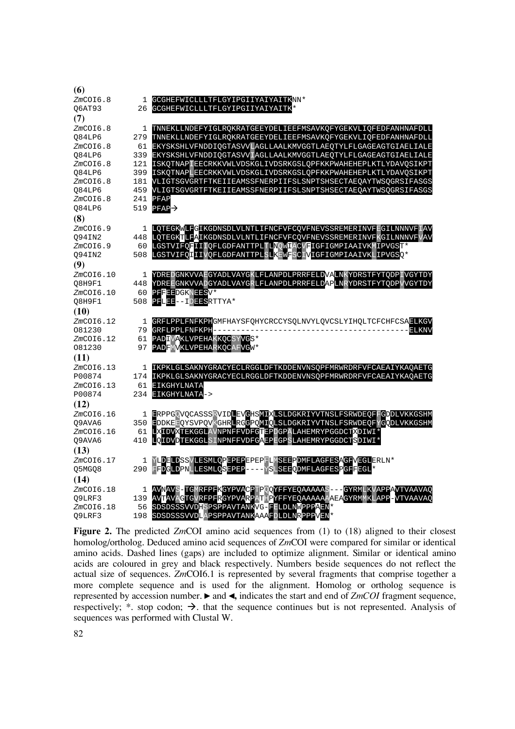| (6)             |     |                                                                                              |
|-----------------|-----|----------------------------------------------------------------------------------------------|
| $ZmCO$ I6.8     | 1   | GCGHEFWICLLLTFLGYIPGIIYAIYAITKNN*                                                            |
| 06AT93          | 26  | GCGHEFWICLLLTFLGYIPGIIYAIYAITK*                                                              |
| (7)             |     |                                                                                              |
| ZmCOI6.8        | 1   | TNNEKLLNDEFYIGLRQKRATGEEYDELIEEFMSAVKQFYGEKVLIQFEDFANHNAFDLL                                 |
| 084LP6          |     | 279 TNNEKLLNDEFYIGLRQKRATGEEYDELIEEFMSAVKQFYGEKVLIQFEDFANHNAFDLL                             |
| ZmCOI6.8        | 61  | EKYSKSHLVFNDDIQGTASVVLAGLLAALKMVGGTLAEQTYLFLGAGEAGTGIAELIALE                                 |
| Q84LP6          |     | 339 EKYSKSHLVFNDDIQGTASVVIAGLLAALKMVGGTLAEQTYLFLGAGEAGTGIAELIALE                             |
| ZmCOI6.8        | 121 | ISKOTNAPIEECRKKVWLVDSKGLIVDSRKGSLOPFKKPWAHEHEPLKTLYDAVOSIKPT                                 |
| 084LP6          |     | 399 ISKOTNAPLEECRKKVWLVDSKGLIVDSRKGSLOPFKKPWAHEHEPLKTLYDAVOSIKPT                             |
| ZmCOI6.8        | 181 | VLIGTSGVGRTFTKEIIEAMSSFNERPIIFSLSNPTSHSECTAEQAYTWSQGRSIFASGS                                 |
| Q84LP6          | 459 | VLIGTSGVGRTFTKEIIEAMSSFNERPIIFSLSNPTSHSECTAEQAYTWSQGRSIFASGS                                 |
| ZmCOI6.8        | 241 | PFAP                                                                                         |
| 084LP6          | 519 | $PFAP \rightarrow$                                                                           |
| (8)             |     |                                                                                              |
| $ZmCO$ I $6.9$  |     | 1 LOTEGKWLFGIKGDNSDLVLNTLIFNCFVFCOVFNEVSSREMERINVFEGILNNNVFIAV                               |
| Q94IN2          |     | 448 LQTEGKTLFAIKGDNSDLVLNTLIFNCFVFCQVFNEVSSREMERINVFKGILNNNVFVAV                             |
| ZmCOI6.9        |     | 60 LGSTVIFQFIIIQFLGDFANTTPLTLNQWIACVFIGFIGMPIAAIVKWIPVGST*                                   |
| Q94IN2          |     | 508 LGSTVIFQIIIVQFLGDFANTTPLSLKEWFSCIVIGFIGMPIAAIVKLIPVGSO*                                  |
| (9)             |     |                                                                                              |
| ZmCOI6.10       | 1   | YDREDGNKVVAEGYADLVAYGKLFLANPDLPRRFELDVALNKYDRSTFYTQDPIVGYTDY                                 |
| Q8H9F1          |     | 448 YDREEGNKVVADGYADLVAYGRLFLANPDLPRRFELDAPLNRYDRSTFYTQDPVVGYTDY                             |
| ZmCOI6.10       | 60  | PFFEEDGKNEESV*                                                                               |
| Q8H9F1          | 508 | PFLEE--IDEESRTTYA*                                                                           |
| (10)            |     |                                                                                              |
| ZmCOI6.12       | 1   | GRFLPPLFNFKPHGMFHAYSFQHYCRCCYSQLNVYLQVCSLYIHQLTCFCHFCSAELKGV                                 |
| 081230          |     | 79 GRFLPPLFNFKPH--------<br><b>ELKNV</b>                                                     |
| ZmCOI6.12       | 61  | PADIVAKLVPEHAKKQCSYVGS*                                                                      |
| 081230          | 97  | PADFMVKLVPEHARKQCAFVGW*                                                                      |
| (11)            |     |                                                                                              |
| ZmCOI6.13       | 1   | IKPKLGLSAKNYGRACYECLRGGLDFTKDDENVNSQPFMRWRDRFVFCAEAIYKAQAETG                                 |
| P00874          |     | 174 IKPKLGLSAKNYGRACYECLRGGLDFTKDDENVNSQPFMRWRDRFVFCAEAIYKAQAETG                             |
| ZmCOI6.13       | 61  | <b>EIKGHYLNATA</b>                                                                           |
| P00874          |     | 234 EIKGHYLNATA->                                                                            |
| (12)            |     |                                                                                              |
| ZmCOI6.16       |     | 1 ERPPGQVQCASSSRVIDLEV <mark>C</mark> HS <mark>MIX</mark> LSLDGKRIYVTNSLFSRWDEQFFGDDLVKKGSHM |
| 09AVA6          |     | 350 EDDKEEQYSVPQVKGHRLRGGPQMIQLSLDGKRIYVTNSLFSRWDEQFYGQDLVKKGSHM                             |
| $ZmCO$ I $6.16$ | 61  | LXIDVXTEKGGLAVNPNFFVDFGTEPDGPALAHEMRYPGGDCTXDIWI*                                            |
| Q9AVA6          | 410 | LQIDVDTEKGGLSINPNFFVDFGAEPEGPSLAHEMRYPGGDCTSDIWI*                                            |
| (13)            |     |                                                                                              |
| ZmCOI6.17       | 1   | YLDELDSSVLESMLQPEPEPEPEPFLMSEEPDMFLAGFESAGFVEGLERLN*                                         |
| Q5MGQ8          | 290 | FFDGLDPNLLESMLQSEPEP----YSLSEEQDMFLAGFESPGFFEGL*                                             |
| (14)            |     |                                                                                              |
| ZmCOI6.18       | 1   | AVNAVS-TGMRFPF <mark>K</mark> GYPVACPTPQQYFFYEQAAAAAS---GYRMLKVAPP <mark>A</mark> VTVAAVAQ   |
| O9LRF3          | 139 | AVTAVAGTGVRFPFRGYPVARPATHPYFFYEQAAAAAAAEAGYRMWKLAPP-VTVAAVAQ                                 |
| ZmCOI6.18       | 56  | SDSDSSSVVDHSPSPPAVTANKVG-FFLDLNWPPPAEN*                                                      |
| O9LRF3          | 198 | SDSDSSSVVDLAPSPPAVTANKAAAFDLDLNRPPPVEN*                                                      |

**Figure 2.** The predicted *Zm*COI amino acid sequences from (1) to (18) aligned to their closest homolog/ortholog. Deduced amino acid sequences of *Zm*COI were compared for similar or identical amino acids. Dashed lines (gaps) are included to optimize alignment. Similar or identical amino acids are coloured in grey and black respectively. Numbers beside sequences do not reflect the actual size of sequences. *Zm*COI6.1 is represented by several fragments that comprise together a more complete sequence and is used for the alignment. Homolog or ortholog sequence is represented by accession number. ► and ◄**,** indicates the start and end of *ZmCOI* fragment sequence, respectively;  $*$  stop codon;  $\rightarrow$  that the sequence continues but is not represented. Analysis of sequences was performed with Clustal W.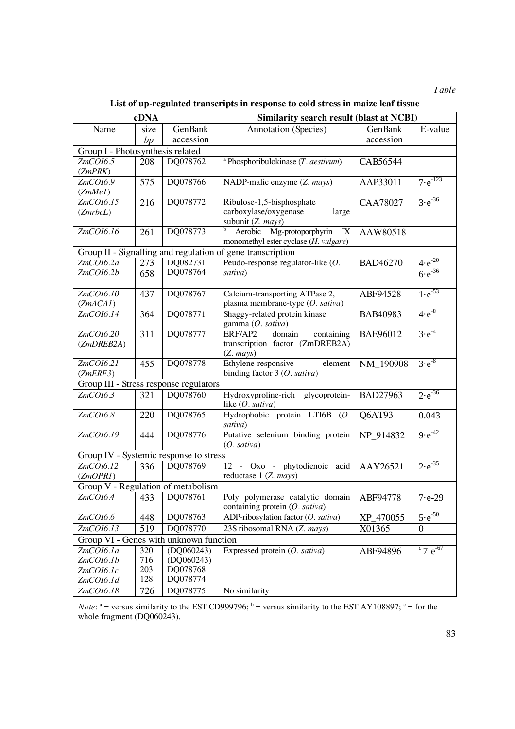*Table* 

**List of up-regulated transcripts in response to cold stress in maize leaf tissue** 

|                                                            | cDNA       |                      | <b>Similarity search result (blast at NCBI)</b>            |                 |                                 |  |  |  |  |
|------------------------------------------------------------|------------|----------------------|------------------------------------------------------------|-----------------|---------------------------------|--|--|--|--|
| Name                                                       | size       | GenBank              | <b>Annotation</b> (Species)                                | GenBank         | E-value                         |  |  |  |  |
|                                                            | bp         | accession            |                                                            | accession       |                                 |  |  |  |  |
| Group I - Photosynthesis related                           |            |                      |                                                            |                 |                                 |  |  |  |  |
| ZmCOI6.5                                                   | 208        | DQ078762             | <sup>a</sup> Phosphoribulokinase $(T.$ <i>aestivum</i> $)$ | CAB56544        |                                 |  |  |  |  |
| (ZmPRK)                                                    |            |                      |                                                            |                 |                                 |  |  |  |  |
| ZmCOI6.9                                                   | 575        | DQ078766             | NADP-malic enzyme (Z. mays)                                | AAP33011        | $7 \cdot e^{-123}$              |  |  |  |  |
| (ZmMel)                                                    |            |                      |                                                            |                 |                                 |  |  |  |  |
| ZmCOI6.15                                                  | 216        | DQ078772             | Ribulose-1,5-bisphosphate                                  | <b>CAA78027</b> | $3 \cdot e^{-36}$               |  |  |  |  |
| (ZmrbcL)                                                   |            |                      | carboxylase/oxygenase<br>large                             |                 |                                 |  |  |  |  |
|                                                            |            |                      | subunit (Z. mays)                                          |                 |                                 |  |  |  |  |
| ZmCOI6.16                                                  | 261        | DQ078773             | Mg-protoporphyrin<br>Aerobic<br>IX                         | AAW80518        |                                 |  |  |  |  |
|                                                            |            |                      | monomethyl ester cyclase (H. vulgare)                      |                 |                                 |  |  |  |  |
| Group II - Signalling and regulation of gene transcription |            |                      |                                                            |                 |                                 |  |  |  |  |
| ZmCOI6.2a                                                  | 273        | DQ082731             | Peudo-response regulator-like $(O.$                        | <b>BAD46270</b> | $4 \cdot e^{-20}$               |  |  |  |  |
| ZmCOI6.2b                                                  | 658        | DQ078764             | sativa)                                                    |                 | $6 \cdot e^{-36}$               |  |  |  |  |
|                                                            |            |                      |                                                            |                 |                                 |  |  |  |  |
| ZmCOI6.10                                                  | 437        | DQ078767             | Calcium-transporting ATPase 2,                             | ABF94528        | $1 \cdot e^{-53}$               |  |  |  |  |
| (ZmACAI)                                                   |            |                      | plasma membrane-type (O. sativa)                           |                 |                                 |  |  |  |  |
| ZmCOI6.14                                                  | 364        | DQ078771             | Shaggy-related protein kinase                              | BAB40983        | $4 \cdot e^{-8}$                |  |  |  |  |
|                                                            |            |                      | gamma (O. sativa)                                          |                 |                                 |  |  |  |  |
| ZmCOI6.20                                                  | 311        | DQ078777             | ERF/AP2<br>domain<br>containing                            | BAE96012        | $3\cdot e^{-4}$                 |  |  |  |  |
| (ZmDREB2A)                                                 |            |                      | transcription factor (ZmDREB2A)                            |                 |                                 |  |  |  |  |
|                                                            |            |                      | $(Z.$ mays)                                                |                 |                                 |  |  |  |  |
| ZmCOI6.21                                                  | 455        | DQ078778             | Ethylene-responsive<br>element                             | NM_190908       | $3 \cdot e^{-8}$                |  |  |  |  |
| (ZmERF3)                                                   |            |                      | binding factor $3$ (O. sativa)                             |                 |                                 |  |  |  |  |
| Group III - Stress response regulators                     |            |                      |                                                            |                 |                                 |  |  |  |  |
| ZmCOI6.3                                                   | 321        | DQ078760             | Hydroxyproline-rich glycoprotein-                          | <b>BAD27963</b> | $2 \cdot e^{-36}$               |  |  |  |  |
| ZmCOI6.8                                                   |            | DQ078765             | like $(O. sativa)$<br>Hydrophobic protein LTI6B (O.        |                 |                                 |  |  |  |  |
|                                                            | 220        |                      | sativa)                                                    | Q6AT93          | 0.043                           |  |  |  |  |
| ZmCOI6.19                                                  | 444        | DQ078776             | Putative selenium binding protein                          |                 | $9e^{-42}$                      |  |  |  |  |
|                                                            |            |                      | (0. sativa)                                                | NP_914832       |                                 |  |  |  |  |
| Group IV - Systemic response to stress                     |            |                      |                                                            |                 |                                 |  |  |  |  |
| $ZmCO$ i $6.12$                                            | 336        | DQ078769             | 12 - Oxo - phytodienoic acid                               | AAY26521        | $2 \cdot e^{-35}$               |  |  |  |  |
| (ZmOPRI)                                                   |            |                      | reductase 1 (Z. mays)                                      |                 |                                 |  |  |  |  |
| Group V - Regulation of metabolism                         |            |                      |                                                            |                 |                                 |  |  |  |  |
| ZmCOI6.4                                                   | 433        | DQ078761             | Poly polymerase catalytic domain   ABF94778                |                 | $7 - e - 29$                    |  |  |  |  |
|                                                            |            |                      | containing protein (O. sativa)                             |                 |                                 |  |  |  |  |
| ZmCOI6.6                                                   | 448        | DQ078763             | ADP-ribosylation factor (O. sativa)                        | XP_470055       | $5\cdot e^{-50}$                |  |  |  |  |
| ZmCOI6.13                                                  |            | DQ078770             | 23S ribosomal RNA (Z. mays)                                |                 |                                 |  |  |  |  |
|                                                            | 519        |                      |                                                            | X01365          | $\boldsymbol{0}$                |  |  |  |  |
| Group VI - Genes with unknown function                     |            |                      |                                                            |                 |                                 |  |  |  |  |
| ZmCOI6.1a                                                  | 320        | (DQ060243)           | Expressed protein $(O. sativa)$                            | ABF94896        | $\degree$ 7 $\frac{1}{e^{-67}}$ |  |  |  |  |
| ZmCOI6.1b                                                  | 716        | (DQ060243)           |                                                            |                 |                                 |  |  |  |  |
| ZmCOI6.1c                                                  | 203<br>128 | DQ078768<br>DQ078774 |                                                            |                 |                                 |  |  |  |  |
| ZmCOI6.1d                                                  |            |                      |                                                            |                 |                                 |  |  |  |  |
| ZmCOI6.18                                                  | 726        | DQ078775             | No similarity                                              |                 |                                 |  |  |  |  |

*Note*:  $a =$  versus similarity to the EST CD999796;  $b =$  versus similarity to the EST AY108897;  $c =$  for the whole fragment (DQ060243).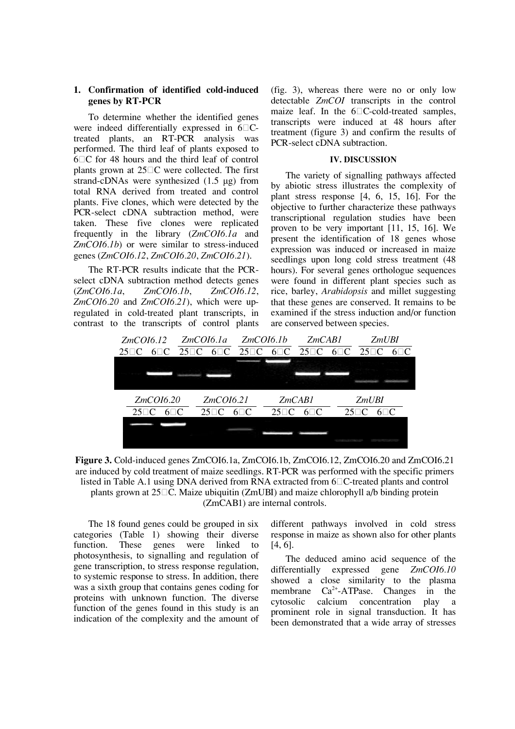# **1. Confirmation of identified cold-induced genes by RT-PCR**

To determine whether the identified genes were indeed differentially expressed in  $6\Box C$ treated plants, an RT-PCR analysis was performed. The third leaf of plants exposed to  $6\overline{C}$  for 48 hours and the third leaf of control plants grown at  $25\degree C$  were collected. The first strand-cDNAs were synthesized (1.5 μg) from total RNA derived from treated and control plants. Five clones, which were detected by the PCR-select cDNA subtraction method, were taken. These five clones were replicated frequently in the library (*ZmCOI6.1a* and *ZmCOI6.1b*) or were similar to stress-induced genes (*ZmCOI6.12*, *ZmCOI6.20*, *ZmCOI6.21*).

The RT-PCR results indicate that the PCRselect cDNA subtraction method detects genes (*ZmCOI6.1a*, *ZmCOI6.1b*, *ZmCOI6.12*, *ZmCOI6.20* and *ZmCOI6.21*), which were upregulated in cold-treated plant transcripts, in contrast to the transcripts of control plants

(fig. 3), whereas there were no or only low detectable *ZmCOI* transcripts in the control maize leaf. In the  $6\Box$ C-cold-treated samples, transcripts were induced at 48 hours after treatment (figure 3) and confirm the results of PCR-select cDNA subtraction.

### **IV. Discussion**

The variety of signalling pathways affected by abiotic stress illustrates the complexity of plant stress response [4, 6, 15, 16]. For the objective to further characterize these pathways transcriptional regulation studies have been proven to be very important [11, 15, 16]. We present the identification of 18 genes whose expression was induced or increased in maize seedlings upon long cold stress treatment (48 hours). For several genes orthologue sequences were found in different plant species such as rice, barley, *Arabidopsis* and millet suggesting that these genes are conserved. It remains to be examined if the stress induction and/or function are conserved between species.



**Figure 3.** Cold-induced genes ZmCOI6.1a, ZmCOI6.1b, ZmCOI6.12, ZmCOI6.20 and ZmCOI6.21 are induced by cold treatment of maize seedlings. RT-PCR was performed with the specific primers listed in Table A.1 using DNA derived from  $\overline{RNA}$  extracted from  $6\overline{C}$ -treated plants and control plants grown at  $25\Box$ C. Maize ubiquitin (ZmUBI) and maize chlorophyll a/b binding protein (ZmCAB1) are internal controls.

The 18 found genes could be grouped in six categories (Table 1) showing their diverse function. These genes were linked to photosynthesis, to signalling and regulation of gene transcription, to stress response regulation, to systemic response to stress. In addition, there was a sixth group that contains genes coding for proteins with unknown function. The diverse function of the genes found in this study is an indication of the complexity and the amount of

different pathways involved in cold stress response in maize as shown also for other plants [4, 6].

The deduced amino acid sequence of the differentially expressed gene *ZmCOI6.10* showed a close similarity to the plasma membrane  $Ca^{2+}-ATP$ ase. Changes in the cytosolic calcium concentration play a prominent role in signal transduction. It has been demonstrated that a wide array of stresses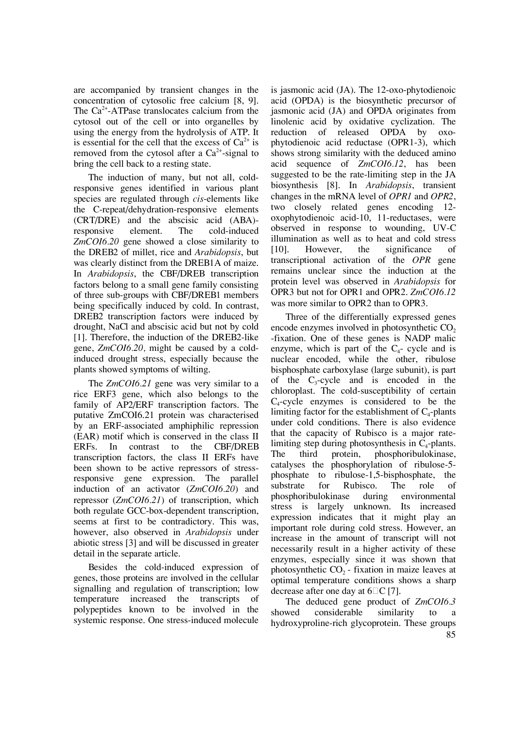are accompanied by transient changes in the concentration of cytosolic free calcium [8, 9]. The  $Ca<sup>2+</sup>-ATP$ ase translocates calcium from the cytosol out of the cell or into organelles by using the energy from the hydrolysis of ATP. It is essential for the cell that the excess of  $Ca^{2+}$  is removed from the cytosol after a  $Ca^{2+}$ -signal to bring the cell back to a resting state.

The induction of many, but not all, coldresponsive genes identified in various plant species are regulated through *cis*-elements like the C-repeat/dehydration-responsive elements (CRT/DRE) and the abscisic acid (ABA) responsive element. The cold-induced *ZmCOI6.20* gene showed a close similarity to the DREB2 of millet, rice and *Arabidopsis*, but was clearly distinct from the DREB1A of maize. In *Arabidopsis*, the CBF/DREB transcription factors belong to a small gene family consisting of three sub-groups with CBF/DREB1 members being specifically induced by cold. In contrast, DREB2 transcription factors were induced by drought, NaCl and abscisic acid but not by cold [1]. Therefore, the induction of the DREB2-like gene, *ZmCOI6.20,* might be caused by a coldinduced drought stress, especially because the plants showed symptoms of wilting.

The *ZmCOI6.21* gene was very similar to a rice ERF3 gene, which also belongs to the family of AP2/ERF transcription factors. The putative ZmCOI6.21 protein was characterised by an ERF-associated amphiphilic repression (EAR) motif which is conserved in the class II ERFs. In contrast to the CBF/DREB transcription factors, the class II ERFs have been shown to be active repressors of stressresponsive gene expression. The parallel induction of an activator (*ZmCOI6.20*) and repressor (*ZmCOI6.21*) of transcription, which both regulate GCC-box-dependent transcription, seems at first to be contradictory. This was, however, also observed in *Arabidopsis* under abiotic stress [3] and will be discussed in greater detail in the separate article.

Besides the cold-induced expression of genes, those proteins are involved in the cellular signalling and regulation of transcription; low temperature increased the transcripts of polypeptides known to be involved in the systemic response. One stress-induced molecule

is jasmonic acid (JA). The 12-oxo-phytodienoic acid (OPDA) is the biosynthetic precursor of jasmonic acid (JA) and OPDA originates from linolenic acid by oxidative cyclization. The reduction of released OPDA by oxophytodienoic acid reductase (OPR1-3), which shows strong similarity with the deduced amino acid sequence of *ZmCOI6.12*, has been suggested to be the rate-limiting step in the JA biosynthesis [8]. In *Arabidopsis*, transient changes in the mRNA level of *OPR1* and *OPR2*, two closely related genes encoding 12 oxophytodienoic acid-10, 11-reductases, were observed in response to wounding, UV-C illumination as well as to heat and cold stress [10]. However, the significance of transcriptional activation of the *OPR* gene remains unclear since the induction at the protein level was observed in *Arabidopsis* for OPR3 but not for OPR1 and OPR2. *ZmCOI6.12* was more similar to OPR2 than to OPR3.

Three of the differentially expressed genes encode enzymes involved in photosynthetic  $CO<sub>2</sub>$ -fixation. One of these genes is NADP malic enzyme, which is part of the  $C_4$ - cycle and is nuclear encoded, while the other, ribulose bisphosphate carboxylase (large subunit), is part of the  $C_3$ -cycle and is encoded in the chloroplast. The cold-susceptibility of certain C4 -cycle enzymes is considered to be the limiting factor for the establishment of  $C_4$ -plants under cold conditions. There is also evidence that the capacity of Rubisco is a major ratelimiting step during photosynthesis in  $C_4$ -plants. The third protein, phosphoribulokinase, catalyses the phosphorylation of ribulose-5 phosphate to ribulose-1,5-bisphosphate, the substrate for Rubisco. The role of phosphoribulokinase during environmental stress is largely unknown. Its increased expression indicates that it might play an important role during cold stress. However, an increase in the amount of transcript will not necessarily result in a higher activity of these enzymes, especially since it was shown that photosynthetic  $CO<sub>2</sub>$  - fixation in maize leaves at optimal temperature conditions shows a sharp decrease after one day at  $6\degree$ C [7].

85 The deduced gene product of *ZmCOI6.3* showed considerable similarity to a hydroxyproline-rich glycoprotein. These groups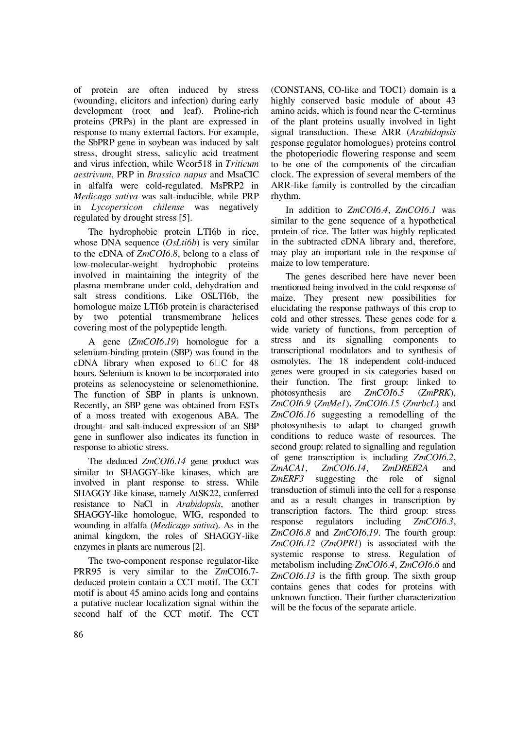of protein are often induced by stress (wounding, elicitors and infection) during early development (root and leaf). Proline-rich proteins (PRPs) in the plant are expressed in response to many external factors. For example, the SbPRP gene in soybean was induced by salt stress, drought stress, salicylic acid treatment and virus infection, while Wcor518 in *Triticum aestrivum*, PRP in *Brassica napus* and MsaCIC in alfalfa were cold-regulated. MsPRP2 in *Medicago sativa* was salt-inducible, while PRP in *Lycopersicon chilense* was negatively regulated by drought stress [5].

The hydrophobic protein LTI6b in rice, whose DNA sequence (*OsLti6b*) is very similar to the cDNA of *ZmCOI6.8*, belong to a class of low-molecular-weight hydrophobic proteins involved in maintaining the integrity of the plasma membrane under cold, dehydration and salt stress conditions. Like OSLTI6b, the homologue maize LTI6b protein is characterised by two potential transmembrane helices covering most of the polypeptide length.

A gene (*ZmCOI6.19*) homologue for a selenium-binding protein (SBP) was found in the cDNA library when exposed to  $6\degree$ C for 48 hours. Selenium is known to be incorporated into proteins as selenocysteine or selenomethionine. The function of SBP in plants is unknown. Recently, an SBP gene was obtained from ESTs of a moss treated with exogenous ABA. The drought- and salt-induced expression of an SBP gene in sunflower also indicates its function in response to abiotic stress.

The deduced *ZmCOI6.14* gene product was similar to SHAGGY-like kinases, which are involved in plant response to stress. While SHAGGY-like kinase, namely AtSK22, conferred resistance to NaCl in *Arabidopsis*, another SHAGGY-like homologue, WIG, responded to wounding in alfalfa (*Medicago sativa*). As in the animal kingdom, the roles of SHAGGY-like enzymes in plants are numerous [2].

The two-component response regulator-like PRR95 is very similar to the *Zm*COI6.7 deduced protein contain a CCT motif. The CCT motif is about 45 amino acids long and contains a putative nuclear localization signal within the second half of the CCT motif. The CCT

(CONSTANS, CO-like and TOC1) domain is a highly conserved basic module of about 43 amino acids, which is found near the C-terminus of the plant proteins usually involved in light signal transduction. These ARR (*Arabidopsis* response regulator homologues) proteins control the photoperiodic flowering response and seem to be one of the components of the circadian clock. The expression of several members of the ARR-like family is controlled by the circadian rhythm.

In addition to *ZmCOI6.4*, *ZmCOI6.1* was similar to the gene sequence of a hypothetical protein of rice. The latter was highly replicated in the subtracted cDNA library and, therefore, may play an important role in the response of maize to low temperature.

The genes described here have never been mentioned being involved in the cold response of maize. They present new possibilities for elucidating the response pathways of this crop to cold and other stresses. These genes code for a wide variety of functions, from perception of stress and its signalling components to transcriptional modulators and to synthesis of osmolytes. The 18 independent cold-induced genes were grouped in six categories based on their function. The first group: linked to photosynthesis are *ZmCOI6.5* (*ZmPRK*), *ZmCOI6.9* (*ZmMe1*), *ZmCOI6.15* (*ZmrbcL*) and *ZmCOI6.16* suggesting a remodelling of the photosynthesis to adapt to changed growth conditions to reduce waste of resources. The second group: related to signalling and regulation of gene transcription is including *ZmCOI6.2*, *ZmACA1*, *ZmCOI6.14*, *ZmDREB2A* and *ZmERF3* suggesting the role of signal transduction of stimuli into the cell for a response and as a result changes in transcription by transcription factors. The third group: stress response regulators including *ZmCOI6.3*, *ZmCOI6.8* and *ZmCOI6.19*. The fourth group: *ZmCOI6.12* (*ZmOPR1*) is associated with the systemic response to stress. Regulation of metabolism including *ZmCOI6.4*, *ZmCOI6.6* and *ZmCOI6.13* is the fifth group. The sixth group contains genes that codes for proteins with unknown function. Their further characterization will be the focus of the separate article.